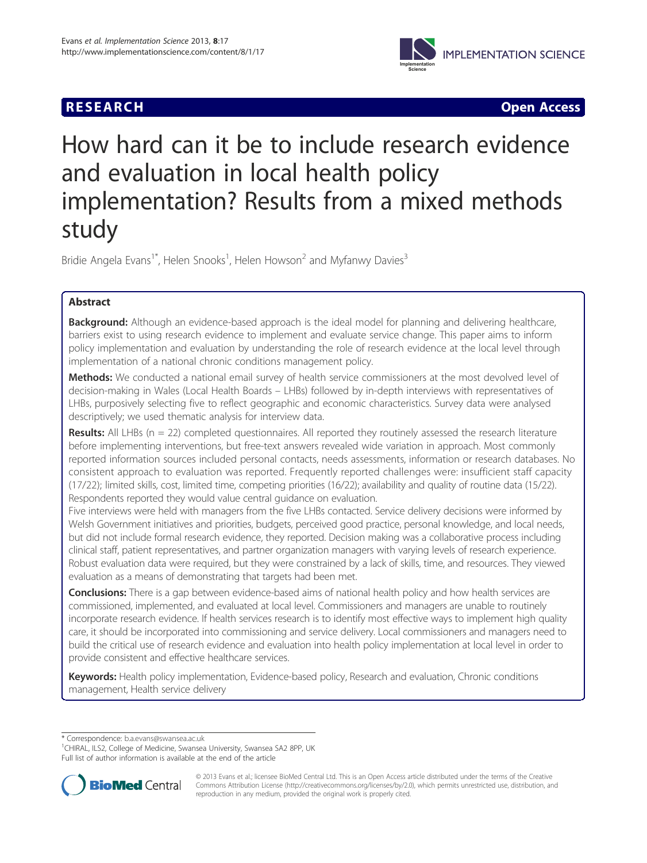



# How hard can it be to include research evidence and evaluation in local health policy implementation? Results from a mixed methods study

Bridie Angela Evans<sup>1\*</sup>, Helen Snooks<sup>1</sup>, Helen Howson<sup>2</sup> and Myfanwy Davies<sup>3</sup>

## Abstract

Background: Although an evidence-based approach is the ideal model for planning and delivering healthcare, barriers exist to using research evidence to implement and evaluate service change. This paper aims to inform policy implementation and evaluation by understanding the role of research evidence at the local level through implementation of a national chronic conditions management policy.

Methods: We conducted a national email survey of health service commissioners at the most devolved level of decision-making in Wales (Local Health Boards – LHBs) followed by in-depth interviews with representatives of LHBs, purposively selecting five to reflect geographic and economic characteristics. Survey data were analysed descriptively; we used thematic analysis for interview data.

Results: All LHBs ( $n = 22$ ) completed questionnaires. All reported they routinely assessed the research literature before implementing interventions, but free-text answers revealed wide variation in approach. Most commonly reported information sources included personal contacts, needs assessments, information or research databases. No consistent approach to evaluation was reported. Frequently reported challenges were: insufficient staff capacity (17/22); limited skills, cost, limited time, competing priorities (16/22); availability and quality of routine data (15/22). Respondents reported they would value central guidance on evaluation.

Five interviews were held with managers from the five LHBs contacted. Service delivery decisions were informed by Welsh Government initiatives and priorities, budgets, perceived good practice, personal knowledge, and local needs, but did not include formal research evidence, they reported. Decision making was a collaborative process including clinical staff, patient representatives, and partner organization managers with varying levels of research experience. Robust evaluation data were required, but they were constrained by a lack of skills, time, and resources. They viewed evaluation as a means of demonstrating that targets had been met.

Conclusions: There is a gap between evidence-based aims of national health policy and how health services are commissioned, implemented, and evaluated at local level. Commissioners and managers are unable to routinely incorporate research evidence. If health services research is to identify most effective ways to implement high quality care, it should be incorporated into commissioning and service delivery. Local commissioners and managers need to build the critical use of research evidence and evaluation into health policy implementation at local level in order to provide consistent and effective healthcare services.

Keywords: Health policy implementation, Evidence-based policy, Research and evaluation, Chronic conditions management, Health service delivery

\* Correspondence: b.a.evans@swansea.ac.uk <sup>1</sup>

<sup>1</sup>CHIRAL, ILS2, College of Medicine, Swansea University, Swansea SA2 8PP, UK Full list of author information is available at the end of the article



© 2013 Evans et al.; licensee BioMed Central Ltd. This is an Open Access article distributed under the terms of the Creative Commons Attribution License (http://creativecommons.org/licenses/by/2.0), which permits unrestricted use, distribution, and reproduction in any medium, provided the original work is properly cited.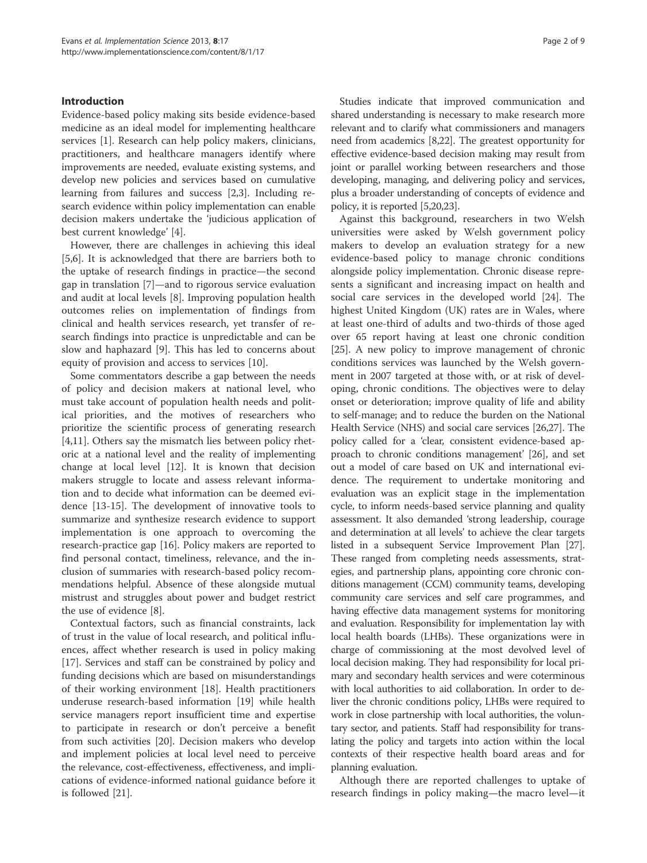#### Introduction

Evidence-based policy making sits beside evidence-based medicine as an ideal model for implementing healthcare services [1]. Research can help policy makers, clinicians, practitioners, and healthcare managers identify where improvements are needed, evaluate existing systems, and develop new policies and services based on cumulative learning from failures and success [2,3]. Including research evidence within policy implementation can enable decision makers undertake the 'judicious application of best current knowledge' [4].

However, there are challenges in achieving this ideal [5,6]. It is acknowledged that there are barriers both to the uptake of research findings in practice—the second gap in translation [7]—and to rigorous service evaluation and audit at local levels [8]. Improving population health outcomes relies on implementation of findings from clinical and health services research, yet transfer of research findings into practice is unpredictable and can be slow and haphazard [9]. This has led to concerns about equity of provision and access to services [10].

Some commentators describe a gap between the needs of policy and decision makers at national level, who must take account of population health needs and political priorities, and the motives of researchers who prioritize the scientific process of generating research [4,11]. Others say the mismatch lies between policy rhetoric at a national level and the reality of implementing change at local level [12]. It is known that decision makers struggle to locate and assess relevant information and to decide what information can be deemed evidence [13-15]. The development of innovative tools to summarize and synthesize research evidence to support implementation is one approach to overcoming the research-practice gap [16]. Policy makers are reported to find personal contact, timeliness, relevance, and the inclusion of summaries with research-based policy recommendations helpful. Absence of these alongside mutual mistrust and struggles about power and budget restrict the use of evidence [8].

Contextual factors, such as financial constraints, lack of trust in the value of local research, and political influences, affect whether research is used in policy making [17]. Services and staff can be constrained by policy and funding decisions which are based on misunderstandings of their working environment [18]. Health practitioners underuse research-based information [19] while health service managers report insufficient time and expertise to participate in research or don't perceive a benefit from such activities [20]. Decision makers who develop and implement policies at local level need to perceive the relevance, cost-effectiveness, effectiveness, and implications of evidence-informed national guidance before it is followed [21].

Studies indicate that improved communication and shared understanding is necessary to make research more relevant and to clarify what commissioners and managers need from academics [8,22]. The greatest opportunity for effective evidence-based decision making may result from joint or parallel working between researchers and those developing, managing, and delivering policy and services, plus a broader understanding of concepts of evidence and policy, it is reported [5,20,23].

Against this background, researchers in two Welsh universities were asked by Welsh government policy makers to develop an evaluation strategy for a new evidence-based policy to manage chronic conditions alongside policy implementation. Chronic disease represents a significant and increasing impact on health and social care services in the developed world [24]. The highest United Kingdom (UK) rates are in Wales, where at least one-third of adults and two-thirds of those aged over 65 report having at least one chronic condition [25]. A new policy to improve management of chronic conditions services was launched by the Welsh government in 2007 targeted at those with, or at risk of developing, chronic conditions. The objectives were to delay onset or deterioration; improve quality of life and ability to self-manage; and to reduce the burden on the National Health Service (NHS) and social care services [26,27]. The policy called for a 'clear, consistent evidence-based approach to chronic conditions management' [26], and set out a model of care based on UK and international evidence. The requirement to undertake monitoring and evaluation was an explicit stage in the implementation cycle, to inform needs-based service planning and quality assessment. It also demanded 'strong leadership, courage and determination at all levels' to achieve the clear targets listed in a subsequent Service Improvement Plan [27]. These ranged from completing needs assessments, strategies, and partnership plans, appointing core chronic conditions management (CCM) community teams, developing community care services and self care programmes, and having effective data management systems for monitoring and evaluation. Responsibility for implementation lay with local health boards (LHBs). These organizations were in charge of commissioning at the most devolved level of local decision making. They had responsibility for local primary and secondary health services and were coterminous with local authorities to aid collaboration. In order to deliver the chronic conditions policy, LHBs were required to work in close partnership with local authorities, the voluntary sector, and patients. Staff had responsibility for translating the policy and targets into action within the local contexts of their respective health board areas and for planning evaluation.

Although there are reported challenges to uptake of research findings in policy making—the macro level—it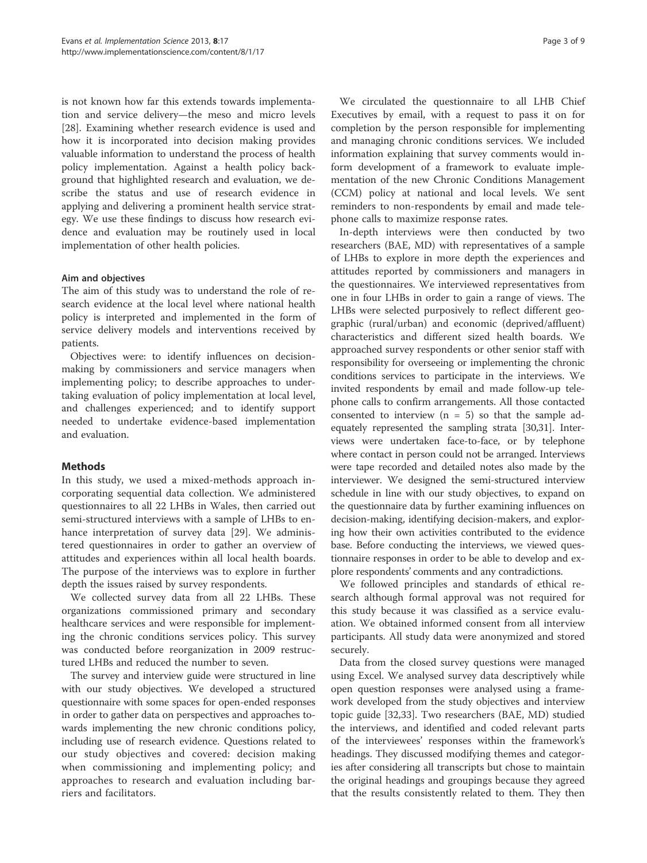is not known how far this extends towards implementation and service delivery—the meso and micro levels [28]. Examining whether research evidence is used and how it is incorporated into decision making provides valuable information to understand the process of health policy implementation. Against a health policy background that highlighted research and evaluation, we describe the status and use of research evidence in applying and delivering a prominent health service strategy. We use these findings to discuss how research evidence and evaluation may be routinely used in local implementation of other health policies.

#### Aim and objectives

The aim of this study was to understand the role of research evidence at the local level where national health policy is interpreted and implemented in the form of service delivery models and interventions received by patients.

Objectives were: to identify influences on decisionmaking by commissioners and service managers when implementing policy; to describe approaches to undertaking evaluation of policy implementation at local level, and challenges experienced; and to identify support needed to undertake evidence-based implementation and evaluation.

## Methods

In this study, we used a mixed-methods approach incorporating sequential data collection. We administered questionnaires to all 22 LHBs in Wales, then carried out semi-structured interviews with a sample of LHBs to enhance interpretation of survey data [29]. We administered questionnaires in order to gather an overview of attitudes and experiences within all local health boards. The purpose of the interviews was to explore in further depth the issues raised by survey respondents.

We collected survey data from all 22 LHBs. These organizations commissioned primary and secondary healthcare services and were responsible for implementing the chronic conditions services policy. This survey was conducted before reorganization in 2009 restructured LHBs and reduced the number to seven.

The survey and interview guide were structured in line with our study objectives. We developed a structured questionnaire with some spaces for open-ended responses in order to gather data on perspectives and approaches towards implementing the new chronic conditions policy, including use of research evidence. Questions related to our study objectives and covered: decision making when commissioning and implementing policy; and approaches to research and evaluation including barriers and facilitators.

We circulated the questionnaire to all LHB Chief Executives by email, with a request to pass it on for completion by the person responsible for implementing and managing chronic conditions services. We included information explaining that survey comments would inform development of a framework to evaluate implementation of the new Chronic Conditions Management (CCM) policy at national and local levels. We sent reminders to non-respondents by email and made telephone calls to maximize response rates.

In-depth interviews were then conducted by two researchers (BAE, MD) with representatives of a sample of LHBs to explore in more depth the experiences and attitudes reported by commissioners and managers in the questionnaires. We interviewed representatives from one in four LHBs in order to gain a range of views. The LHBs were selected purposively to reflect different geographic (rural/urban) and economic (deprived/affluent) characteristics and different sized health boards. We approached survey respondents or other senior staff with responsibility for overseeing or implementing the chronic conditions services to participate in the interviews. We invited respondents by email and made follow-up telephone calls to confirm arrangements. All those contacted consented to interview  $(n = 5)$  so that the sample adequately represented the sampling strata [30,31]. Interviews were undertaken face-to-face, or by telephone where contact in person could not be arranged. Interviews were tape recorded and detailed notes also made by the interviewer. We designed the semi-structured interview schedule in line with our study objectives, to expand on the questionnaire data by further examining influences on decision-making, identifying decision-makers, and exploring how their own activities contributed to the evidence base. Before conducting the interviews, we viewed questionnaire responses in order to be able to develop and explore respondents' comments and any contradictions.

We followed principles and standards of ethical research although formal approval was not required for this study because it was classified as a service evaluation. We obtained informed consent from all interview participants. All study data were anonymized and stored securely.

Data from the closed survey questions were managed using Excel. We analysed survey data descriptively while open question responses were analysed using a framework developed from the study objectives and interview topic guide [32,33]. Two researchers (BAE, MD) studied the interviews, and identified and coded relevant parts of the interviewees' responses within the framework's headings. They discussed modifying themes and categories after considering all transcripts but chose to maintain the original headings and groupings because they agreed that the results consistently related to them. They then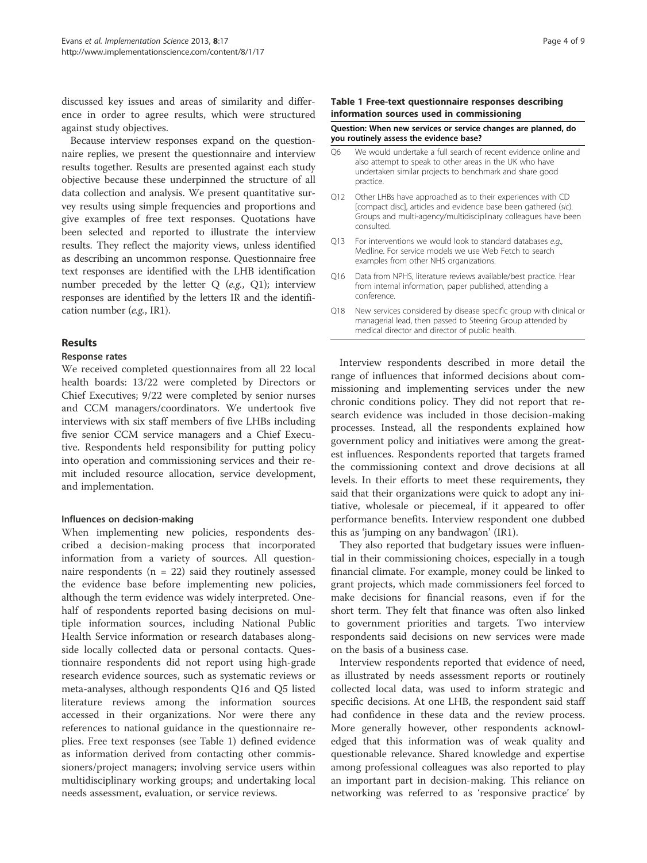discussed key issues and areas of similarity and difference in order to agree results, which were structured against study objectives.

Because interview responses expand on the questionnaire replies, we present the questionnaire and interview results together. Results are presented against each study objective because these underpinned the structure of all data collection and analysis. We present quantitative survey results using simple frequencies and proportions and give examples of free text responses. Quotations have been selected and reported to illustrate the interview results. They reflect the majority views, unless identified as describing an uncommon response. Questionnaire free text responses are identified with the LHB identification number preceded by the letter Q (e.g., Q1); interview responses are identified by the letters IR and the identification number (e.g., IR1).

## Results

#### Response rates

We received completed questionnaires from all 22 local health boards: 13/22 were completed by Directors or Chief Executives; 9/22 were completed by senior nurses and CCM managers/coordinators. We undertook five interviews with six staff members of five LHBs including five senior CCM service managers and a Chief Executive. Respondents held responsibility for putting policy into operation and commissioning services and their remit included resource allocation, service development, and implementation.

## Influences on decision-making

When implementing new policies, respondents described a decision-making process that incorporated information from a variety of sources. All questionnaire respondents ( $n = 22$ ) said they routinely assessed the evidence base before implementing new policies, although the term evidence was widely interpreted. Onehalf of respondents reported basing decisions on multiple information sources, including National Public Health Service information or research databases alongside locally collected data or personal contacts. Questionnaire respondents did not report using high-grade research evidence sources, such as systematic reviews or meta-analyses, although respondents Q16 and Q5 listed literature reviews among the information sources accessed in their organizations. Nor were there any references to national guidance in the questionnaire replies. Free text responses (see Table 1) defined evidence as information derived from contacting other commissioners/project managers; involving service users within multidisciplinary working groups; and undertaking local needs assessment, evaluation, or service reviews.

#### Table 1 Free-text questionnaire responses describing information sources used in commissioning

#### Question: When new services or service changes are planned, do you routinely assess the evidence base?

- Q6 We would undertake a full search of recent evidence online and also attempt to speak to other areas in the UK who have undertaken similar projects to benchmark and share good practice.
- Q12 Other LHBs have approached as to their experiences with CD [compact disc], articles and evidence base been gathered (sic). Groups and multi-agency/multidisciplinary colleagues have been consulted.
- Q13 For interventions we would look to standard databases e.g., Medline. For service models we use Web Fetch to search examples from other NHS organizations.
- Q16 Data from NPHS, literature reviews available/best practice. Hear from internal information, paper published, attending a conference.
- Q18 New services considered by disease specific group with clinical or managerial lead, then passed to Steering Group attended by medical director and director of public health.

Interview respondents described in more detail the range of influences that informed decisions about commissioning and implementing services under the new chronic conditions policy. They did not report that research evidence was included in those decision-making processes. Instead, all the respondents explained how government policy and initiatives were among the greatest influences. Respondents reported that targets framed the commissioning context and drove decisions at all levels. In their efforts to meet these requirements, they said that their organizations were quick to adopt any initiative, wholesale or piecemeal, if it appeared to offer performance benefits. Interview respondent one dubbed this as 'jumping on any bandwagon' (IR1).

They also reported that budgetary issues were influential in their commissioning choices, especially in a tough financial climate. For example, money could be linked to grant projects, which made commissioners feel forced to make decisions for financial reasons, even if for the short term. They felt that finance was often also linked to government priorities and targets. Two interview respondents said decisions on new services were made on the basis of a business case.

Interview respondents reported that evidence of need, as illustrated by needs assessment reports or routinely collected local data, was used to inform strategic and specific decisions. At one LHB, the respondent said staff had confidence in these data and the review process. More generally however, other respondents acknowledged that this information was of weak quality and questionable relevance. Shared knowledge and expertise among professional colleagues was also reported to play an important part in decision-making. This reliance on networking was referred to as 'responsive practice' by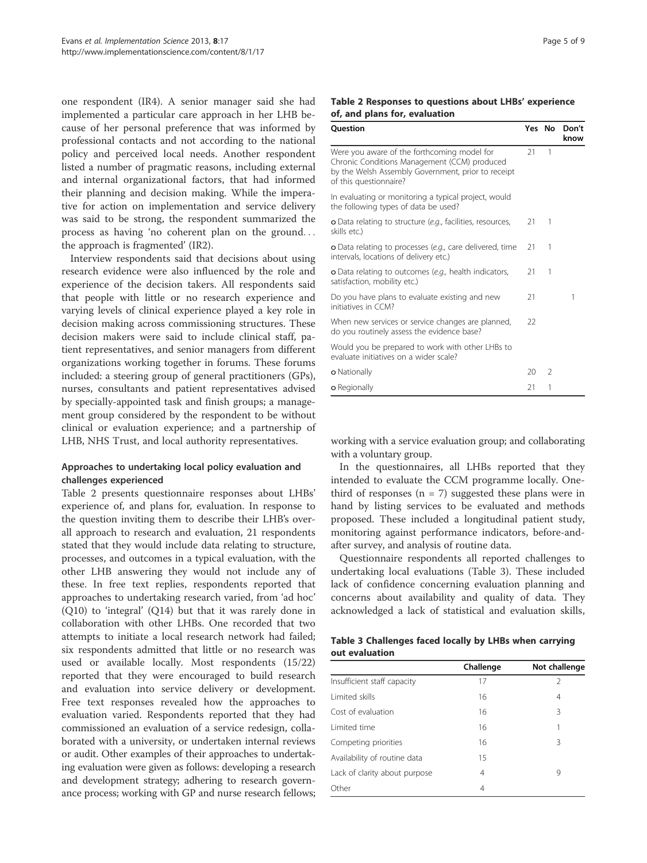one respondent (IR4). A senior manager said she had implemented a particular care approach in her LHB because of her personal preference that was informed by professional contacts and not according to the national policy and perceived local needs. Another respondent listed a number of pragmatic reasons, including external and internal organizational factors, that had informed their planning and decision making. While the imperative for action on implementation and service delivery was said to be strong, the respondent summarized the process as having 'no coherent plan on the ground... the approach is fragmented' (IR2).

Interview respondents said that decisions about using research evidence were also influenced by the role and experience of the decision takers. All respondents said that people with little or no research experience and varying levels of clinical experience played a key role in decision making across commissioning structures. These decision makers were said to include clinical staff, patient representatives, and senior managers from different organizations working together in forums. These forums included: a steering group of general practitioners (GPs), nurses, consultants and patient representatives advised by specially-appointed task and finish groups; a management group considered by the respondent to be without clinical or evaluation experience; and a partnership of LHB, NHS Trust, and local authority representatives.

## Approaches to undertaking local policy evaluation and challenges experienced

Table 2 presents questionnaire responses about LHBs' experience of, and plans for, evaluation. In response to the question inviting them to describe their LHB's overall approach to research and evaluation, 21 respondents stated that they would include data relating to structure, processes, and outcomes in a typical evaluation, with the other LHB answering they would not include any of these. In free text replies, respondents reported that approaches to undertaking research varied, from 'ad hoc' (Q10) to 'integral' (Q14) but that it was rarely done in collaboration with other LHBs. One recorded that two attempts to initiate a local research network had failed; six respondents admitted that little or no research was used or available locally. Most respondents (15/22) reported that they were encouraged to build research and evaluation into service delivery or development. Free text responses revealed how the approaches to evaluation varied. Respondents reported that they had commissioned an evaluation of a service redesign, collaborated with a university, or undertaken internal reviews or audit. Other examples of their approaches to undertaking evaluation were given as follows: developing a research and development strategy; adhering to research governance process; working with GP and nurse research fellows;

#### Table 2 Responses to questions about LHBs' experience of, and plans for, evaluation

| <b>Ouestion</b>                                                                                                                                                             |    | Yes No       | Don't<br>know |
|-----------------------------------------------------------------------------------------------------------------------------------------------------------------------------|----|--------------|---------------|
| Were you aware of the forthcoming model for<br>Chronic Conditions Management (CCM) produced<br>by the Welsh Assembly Government, prior to receipt<br>of this questionnaire? | 21 | $\mathbf{1}$ |               |
| In evaluating or monitoring a typical project, would<br>the following types of data be used?                                                                                |    |              |               |
| o Data relating to structure (e.g., facilities, resources,<br>skills etc.)                                                                                                  | 21 | 1            |               |
| <b>o</b> Data relating to processes (e.g., care delivered, time<br>intervals, locations of delivery etc.)                                                                   | 21 | 1            |               |
| <b>o</b> Data relating to outcomes (e.g., health indicators,<br>satisfaction, mobility etc.)                                                                                | 21 | 1            |               |
| Do you have plans to evaluate existing and new<br>initiatives in CCM?                                                                                                       | 21 |              | 1             |
| When new services or service changes are planned,<br>do you routinely assess the evidence base?                                                                             | 22 |              |               |
| Would you be prepared to work with other LHBs to<br>evaluate initiatives on a wider scale?                                                                                  |    |              |               |
| <b>o</b> Nationally                                                                                                                                                         | 20 | 2            |               |
| <b>o</b> Regionally                                                                                                                                                         | 21 | 1            |               |

working with a service evaluation group; and collaborating with a voluntary group.

In the questionnaires, all LHBs reported that they intended to evaluate the CCM programme locally. Onethird of responses ( $n = 7$ ) suggested these plans were in hand by listing services to be evaluated and methods proposed. These included a longitudinal patient study, monitoring against performance indicators, before-andafter survey, and analysis of routine data.

Questionnaire respondents all reported challenges to undertaking local evaluations (Table 3). These included lack of confidence concerning evaluation planning and concerns about availability and quality of data. They acknowledged a lack of statistical and evaluation skills,

|                | Table 3 Challenges faced locally by LHBs when carrying |  |  |  |
|----------------|--------------------------------------------------------|--|--|--|
| out evaluation |                                                        |  |  |  |

|                               | Challenge | Not challenge |
|-------------------------------|-----------|---------------|
| Insufficient staff capacity   | 17        | $\mathcal{P}$ |
| I imited skills               | 16        | 4             |
| Cost of evaluation            | 16        | 3             |
| I imited time                 | 16        | 1             |
| Competing priorities          | 16        | 3             |
| Availability of routine data  | 15        |               |
| Lack of clarity about purpose | 4         | 9             |
| Other                         | 4         |               |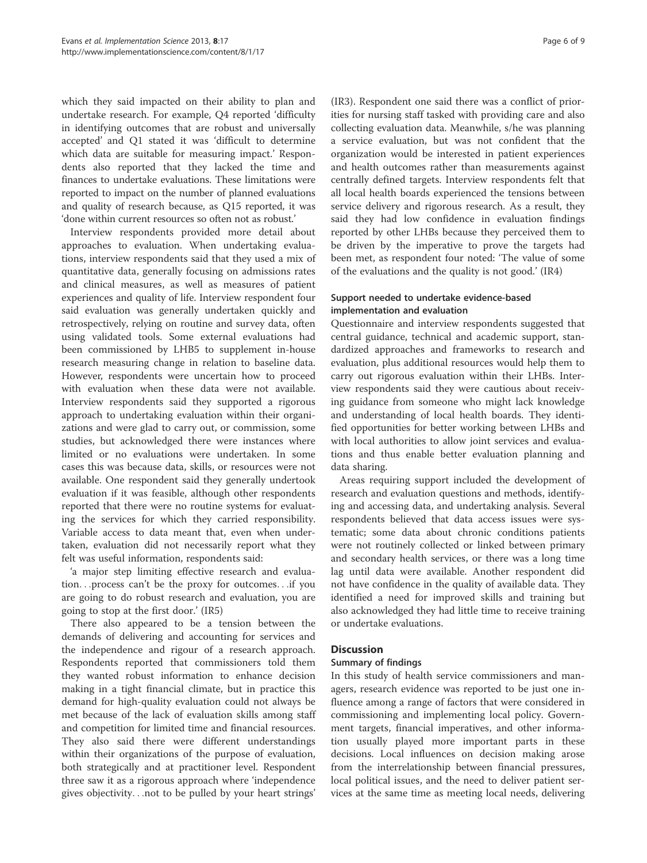which they said impacted on their ability to plan and undertake research. For example, Q4 reported 'difficulty in identifying outcomes that are robust and universally accepted' and Q1 stated it was 'difficult to determine which data are suitable for measuring impact.' Respondents also reported that they lacked the time and finances to undertake evaluations. These limitations were reported to impact on the number of planned evaluations and quality of research because, as Q15 reported, it was 'done within current resources so often not as robust.'

Interview respondents provided more detail about approaches to evaluation. When undertaking evaluations, interview respondents said that they used a mix of quantitative data, generally focusing on admissions rates and clinical measures, as well as measures of patient experiences and quality of life. Interview respondent four said evaluation was generally undertaken quickly and retrospectively, relying on routine and survey data, often using validated tools. Some external evaluations had been commissioned by LHB5 to supplement in-house research measuring change in relation to baseline data. However, respondents were uncertain how to proceed with evaluation when these data were not available. Interview respondents said they supported a rigorous approach to undertaking evaluation within their organizations and were glad to carry out, or commission, some studies, but acknowledged there were instances where limited or no evaluations were undertaken. In some cases this was because data, skills, or resources were not available. One respondent said they generally undertook evaluation if it was feasible, although other respondents reported that there were no routine systems for evaluating the services for which they carried responsibility. Variable access to data meant that, even when undertaken, evaluation did not necessarily report what they felt was useful information, respondents said:

'a major step limiting effective research and evaluation...process can't be the proxy for outcomes...if you are going to do robust research and evaluation, you are going to stop at the first door.' (IR5)

There also appeared to be a tension between the demands of delivering and accounting for services and the independence and rigour of a research approach. Respondents reported that commissioners told them they wanted robust information to enhance decision making in a tight financial climate, but in practice this demand for high-quality evaluation could not always be met because of the lack of evaluation skills among staff and competition for limited time and financial resources. They also said there were different understandings within their organizations of the purpose of evaluation, both strategically and at practitioner level. Respondent three saw it as a rigorous approach where 'independence gives objectivity...not to be pulled by your heart strings' (IR3). Respondent one said there was a conflict of priorities for nursing staff tasked with providing care and also collecting evaluation data. Meanwhile, s/he was planning a service evaluation, but was not confident that the organization would be interested in patient experiences and health outcomes rather than measurements against centrally defined targets. Interview respondents felt that all local health boards experienced the tensions between service delivery and rigorous research. As a result, they said they had low confidence in evaluation findings reported by other LHBs because they perceived them to be driven by the imperative to prove the targets had been met, as respondent four noted: 'The value of some of the evaluations and the quality is not good.' (IR4)

## Support needed to undertake evidence-based implementation and evaluation

Questionnaire and interview respondents suggested that central guidance, technical and academic support, standardized approaches and frameworks to research and evaluation, plus additional resources would help them to carry out rigorous evaluation within their LHBs. Interview respondents said they were cautious about receiving guidance from someone who might lack knowledge and understanding of local health boards. They identified opportunities for better working between LHBs and with local authorities to allow joint services and evaluations and thus enable better evaluation planning and data sharing.

Areas requiring support included the development of research and evaluation questions and methods, identifying and accessing data, and undertaking analysis. Several respondents believed that data access issues were systematic; some data about chronic conditions patients were not routinely collected or linked between primary and secondary health services, or there was a long time lag until data were available. Another respondent did not have confidence in the quality of available data. They identified a need for improved skills and training but also acknowledged they had little time to receive training or undertake evaluations.

## **Discussion**

## Summary of findings

In this study of health service commissioners and managers, research evidence was reported to be just one influence among a range of factors that were considered in commissioning and implementing local policy. Government targets, financial imperatives, and other information usually played more important parts in these decisions. Local influences on decision making arose from the interrelationship between financial pressures, local political issues, and the need to deliver patient services at the same time as meeting local needs, delivering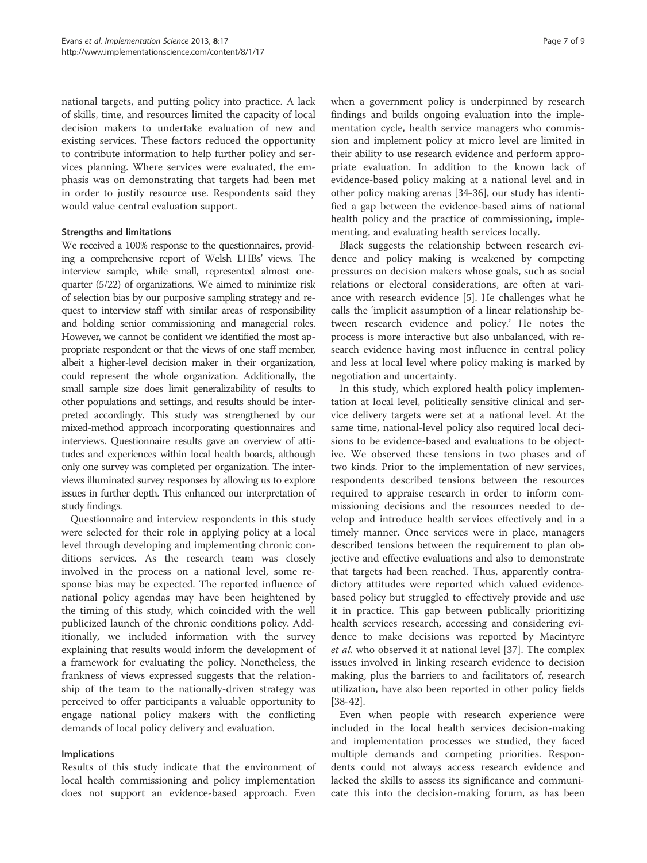national targets, and putting policy into practice. A lack of skills, time, and resources limited the capacity of local decision makers to undertake evaluation of new and existing services. These factors reduced the opportunity to contribute information to help further policy and services planning. Where services were evaluated, the emphasis was on demonstrating that targets had been met in order to justify resource use. Respondents said they would value central evaluation support.

## Strengths and limitations

We received a 100% response to the questionnaires, providing a comprehensive report of Welsh LHBs' views. The interview sample, while small, represented almost onequarter (5/22) of organizations. We aimed to minimize risk of selection bias by our purposive sampling strategy and request to interview staff with similar areas of responsibility and holding senior commissioning and managerial roles. However, we cannot be confident we identified the most appropriate respondent or that the views of one staff member, albeit a higher-level decision maker in their organization, could represent the whole organization. Additionally, the small sample size does limit generalizability of results to other populations and settings, and results should be interpreted accordingly. This study was strengthened by our mixed-method approach incorporating questionnaires and interviews. Questionnaire results gave an overview of attitudes and experiences within local health boards, although only one survey was completed per organization. The interviews illuminated survey responses by allowing us to explore issues in further depth. This enhanced our interpretation of study findings.

Questionnaire and interview respondents in this study were selected for their role in applying policy at a local level through developing and implementing chronic conditions services. As the research team was closely involved in the process on a national level, some response bias may be expected. The reported influence of national policy agendas may have been heightened by the timing of this study, which coincided with the well publicized launch of the chronic conditions policy. Additionally, we included information with the survey explaining that results would inform the development of a framework for evaluating the policy. Nonetheless, the frankness of views expressed suggests that the relationship of the team to the nationally-driven strategy was perceived to offer participants a valuable opportunity to engage national policy makers with the conflicting demands of local policy delivery and evaluation.

## Implications

Results of this study indicate that the environment of local health commissioning and policy implementation does not support an evidence-based approach. Even

when a government policy is underpinned by research findings and builds ongoing evaluation into the implementation cycle, health service managers who commission and implement policy at micro level are limited in their ability to use research evidence and perform appropriate evaluation. In addition to the known lack of evidence-based policy making at a national level and in other policy making arenas [34-36], our study has identified a gap between the evidence-based aims of national health policy and the practice of commissioning, implementing, and evaluating health services locally.

Black suggests the relationship between research evidence and policy making is weakened by competing pressures on decision makers whose goals, such as social relations or electoral considerations, are often at variance with research evidence [5]. He challenges what he calls the 'implicit assumption of a linear relationship between research evidence and policy.' He notes the process is more interactive but also unbalanced, with research evidence having most influence in central policy and less at local level where policy making is marked by negotiation and uncertainty.

In this study, which explored health policy implementation at local level, politically sensitive clinical and service delivery targets were set at a national level. At the same time, national-level policy also required local decisions to be evidence-based and evaluations to be objective. We observed these tensions in two phases and of two kinds. Prior to the implementation of new services, respondents described tensions between the resources required to appraise research in order to inform commissioning decisions and the resources needed to develop and introduce health services effectively and in a timely manner. Once services were in place, managers described tensions between the requirement to plan objective and effective evaluations and also to demonstrate that targets had been reached. Thus, apparently contradictory attitudes were reported which valued evidencebased policy but struggled to effectively provide and use it in practice. This gap between publically prioritizing health services research, accessing and considering evidence to make decisions was reported by Macintyre et al. who observed it at national level [37]. The complex issues involved in linking research evidence to decision making, plus the barriers to and facilitators of, research utilization, have also been reported in other policy fields [38-42].

Even when people with research experience were included in the local health services decision-making and implementation processes we studied, they faced multiple demands and competing priorities. Respondents could not always access research evidence and lacked the skills to assess its significance and communicate this into the decision-making forum, as has been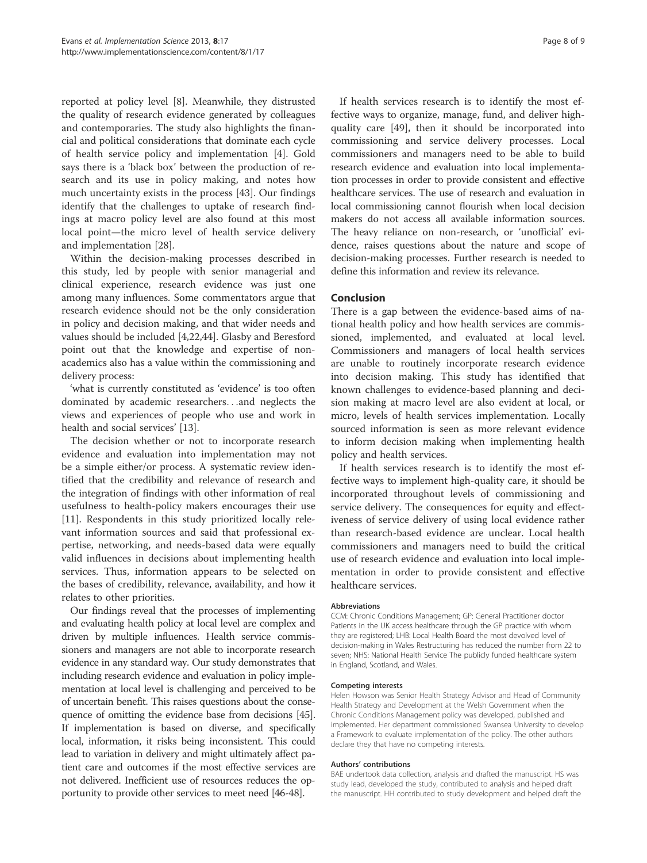reported at policy level [8]. Meanwhile, they distrusted the quality of research evidence generated by colleagues and contemporaries. The study also highlights the financial and political considerations that dominate each cycle of health service policy and implementation [4]. Gold says there is a 'black box' between the production of research and its use in policy making, and notes how much uncertainty exists in the process [43]. Our findings identify that the challenges to uptake of research findings at macro policy level are also found at this most local point—the micro level of health service delivery and implementation [28].

Within the decision-making processes described in this study, led by people with senior managerial and clinical experience, research evidence was just one among many influences. Some commentators argue that research evidence should not be the only consideration in policy and decision making, and that wider needs and values should be included [4,22,44]. Glasby and Beresford point out that the knowledge and expertise of nonacademics also has a value within the commissioning and delivery process:

'what is currently constituted as 'evidence' is too often dominated by academic researchers...and neglects the views and experiences of people who use and work in health and social services' [13].

The decision whether or not to incorporate research evidence and evaluation into implementation may not be a simple either/or process. A systematic review identified that the credibility and relevance of research and the integration of findings with other information of real usefulness to health-policy makers encourages their use [11]. Respondents in this study prioritized locally relevant information sources and said that professional expertise, networking, and needs-based data were equally valid influences in decisions about implementing health services. Thus, information appears to be selected on the bases of credibility, relevance, availability, and how it relates to other priorities.

Our findings reveal that the processes of implementing and evaluating health policy at local level are complex and driven by multiple influences. Health service commissioners and managers are not able to incorporate research evidence in any standard way. Our study demonstrates that including research evidence and evaluation in policy implementation at local level is challenging and perceived to be of uncertain benefit. This raises questions about the consequence of omitting the evidence base from decisions [45]. If implementation is based on diverse, and specifically local, information, it risks being inconsistent. This could lead to variation in delivery and might ultimately affect patient care and outcomes if the most effective services are not delivered. Inefficient use of resources reduces the opportunity to provide other services to meet need [46-48].

If health services research is to identify the most effective ways to organize, manage, fund, and deliver highquality care [49], then it should be incorporated into commissioning and service delivery processes. Local commissioners and managers need to be able to build research evidence and evaluation into local implementation processes in order to provide consistent and effective healthcare services. The use of research and evaluation in local commissioning cannot flourish when local decision makers do not access all available information sources. The heavy reliance on non-research, or 'unofficial' evidence, raises questions about the nature and scope of decision-making processes. Further research is needed to define this information and review its relevance.

#### Conclusion

There is a gap between the evidence-based aims of national health policy and how health services are commissioned, implemented, and evaluated at local level. Commissioners and managers of local health services are unable to routinely incorporate research evidence into decision making. This study has identified that known challenges to evidence-based planning and decision making at macro level are also evident at local, or micro, levels of health services implementation. Locally sourced information is seen as more relevant evidence to inform decision making when implementing health policy and health services.

If health services research is to identify the most effective ways to implement high-quality care, it should be incorporated throughout levels of commissioning and service delivery. The consequences for equity and effectiveness of service delivery of using local evidence rather than research-based evidence are unclear. Local health commissioners and managers need to build the critical use of research evidence and evaluation into local implementation in order to provide consistent and effective healthcare services.

#### Abbreviations

CCM: Chronic Conditions Management; GP: General Practitioner doctor Patients in the UK access healthcare through the GP practice with whom they are registered; LHB: Local Health Board the most devolved level of decision-making in Wales Restructuring has reduced the number from 22 to seven; NHS: National Health Service The publicly funded healthcare system in England, Scotland, and Wales.

#### Competing interests

Helen Howson was Senior Health Strategy Advisor and Head of Community Health Strategy and Development at the Welsh Government when the Chronic Conditions Management policy was developed, published and implemented. Her department commissioned Swansea University to develop a Framework to evaluate implementation of the policy. The other authors declare they that have no competing interests.

#### Authors' contributions

BAE undertook data collection, analysis and drafted the manuscript. HS was study lead, developed the study, contributed to analysis and helped draft the manuscript. HH contributed to study development and helped draft the